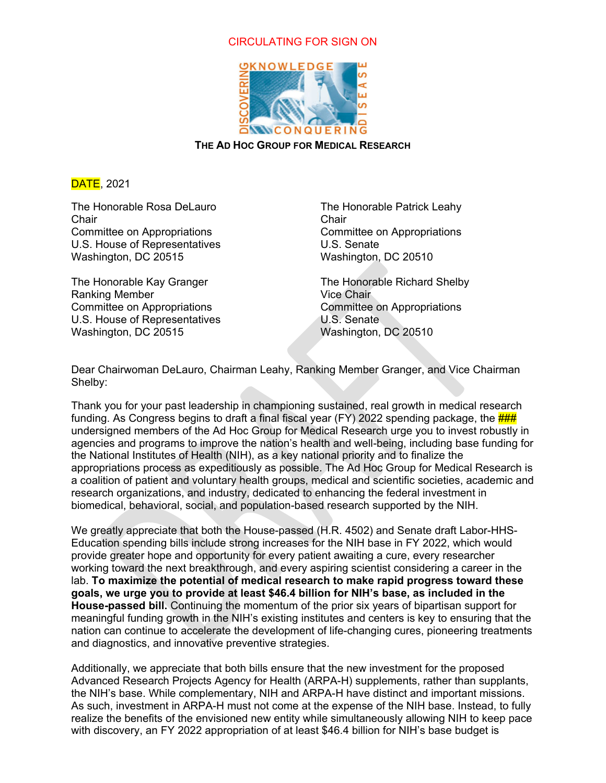## CIRCULATING FOR SIGN ON



**THE AD HOC GROUP FOR MEDICAL RESEARCH** 

DATE, 2021

The Honorable Rosa DeLauro Chair Committee on Appropriations U.S. House of Representatives Washington, DC 20515

The Honorable Kay Granger Ranking Member Committee on Appropriations U.S. House of Representatives Washington, DC 20515

The Honorable Patrick Leahy Chair Committee on Appropriations U.S. Senate Washington, DC 20510

The Honorable Richard Shelby Vice Chair Committee on Appropriations U.S. Senate Washington, DC 20510

Dear Chairwoman DeLauro, Chairman Leahy, Ranking Member Granger, and Vice Chairman Shelby:

Thank you for your past leadership in championing sustained, real growth in medical research funding. As Congress begins to draft a final fiscal year (FY) 2022 spending package, the  $\frac{HHH}{H}$ undersigned members of the Ad Hoc Group for Medical Research urge you to invest robustly in agencies and programs to improve the nation's health and well-being, including base funding for the National Institutes of Health (NIH), as a key national priority and to finalize the appropriations process as expeditiously as possible. The Ad Hoc Group for Medical Research is a coalition of patient and voluntary health groups, medical and scientific societies, academic and research organizations, and industry, dedicated to enhancing the federal investment in biomedical, behavioral, social, and population-based research supported by the NIH.

We greatly appreciate that both the House-passed (H.R. 4502) and Senate draft Labor-HHS-Education spending bills include strong increases for the NIH base in FY 2022, which would provide greater hope and opportunity for every patient awaiting a cure, every researcher working toward the next breakthrough, and every aspiring scientist considering a career in the lab. **To maximize the potential of medical research to make rapid progress toward these goals, we urge you to provide at least \$46.4 billion for NIH's base, as included in the House-passed bill.** Continuing the momentum of the prior six years of bipartisan support for meaningful funding growth in the NIH's existing institutes and centers is key to ensuring that the nation can continue to accelerate the development of life-changing cures, pioneering treatments and diagnostics, and innovative preventive strategies.

Additionally, we appreciate that both bills ensure that the new investment for the proposed Advanced Research Projects Agency for Health (ARPA-H) supplements, rather than supplants, the NIH's base. While complementary, NIH and ARPA-H have distinct and important missions. As such, investment in ARPA-H must not come at the expense of the NIH base. Instead, to fully realize the benefits of the envisioned new entity while simultaneously allowing NIH to keep pace with discovery, an FY 2022 appropriation of at least \$46.4 billion for NIH's base budget is